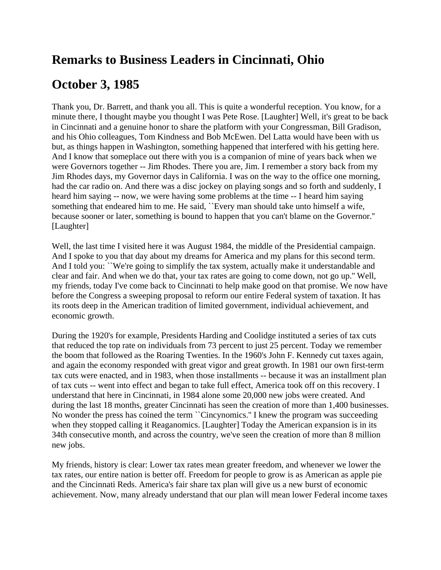## **Remarks to Business Leaders in Cincinnati, Ohio**

## **October 3, 1985**

Thank you, Dr. Barrett, and thank you all. This is quite a wonderful reception. You know, for a minute there, I thought maybe you thought I was Pete Rose. [Laughter] Well, it's great to be back in Cincinnati and a genuine honor to share the platform with your Congressman, Bill Gradison, and his Ohio colleagues, Tom Kindness and Bob McEwen. Del Latta would have been with us but, as things happen in Washington, something happened that interfered with his getting here. And I know that someplace out there with you is a companion of mine of years back when we were Governors together -- Jim Rhodes. There you are, Jim. I remember a story back from my Jim Rhodes days, my Governor days in California. I was on the way to the office one morning, had the car radio on. And there was a disc jockey on playing songs and so forth and suddenly, I heard him saying -- now, we were having some problems at the time -- I heard him saying something that endeared him to me. He said, ``Every man should take unto himself a wife, because sooner or later, something is bound to happen that you can't blame on the Governor.'' [Laughter]

Well, the last time I visited here it was August 1984, the middle of the Presidential campaign. And I spoke to you that day about my dreams for America and my plans for this second term. And I told you: ``We're going to simplify the tax system, actually make it understandable and clear and fair. And when we do that, your tax rates are going to come down, not go up.'' Well, my friends, today I've come back to Cincinnati to help make good on that promise. We now have before the Congress a sweeping proposal to reform our entire Federal system of taxation. It has its roots deep in the American tradition of limited government, individual achievement, and economic growth.

During the 1920's for example, Presidents Harding and Coolidge instituted a series of tax cuts that reduced the top rate on individuals from 73 percent to just 25 percent. Today we remember the boom that followed as the Roaring Twenties. In the 1960's John F. Kennedy cut taxes again, and again the economy responded with great vigor and great growth. In 1981 our own first-term tax cuts were enacted, and in 1983, when those installments -- because it was an installment plan of tax cuts -- went into effect and began to take full effect, America took off on this recovery. I understand that here in Cincinnati, in 1984 alone some 20,000 new jobs were created. And during the last 18 months, greater Cincinnati has seen the creation of more than 1,400 businesses. No wonder the press has coined the term ``Cincynomics.'' I knew the program was succeeding when they stopped calling it Reaganomics. [Laughter] Today the American expansion is in its 34th consecutive month, and across the country, we've seen the creation of more than 8 million new jobs.

My friends, history is clear: Lower tax rates mean greater freedom, and whenever we lower the tax rates, our entire nation is better off. Freedom for people to grow is as American as apple pie and the Cincinnati Reds. America's fair share tax plan will give us a new burst of economic achievement. Now, many already understand that our plan will mean lower Federal income taxes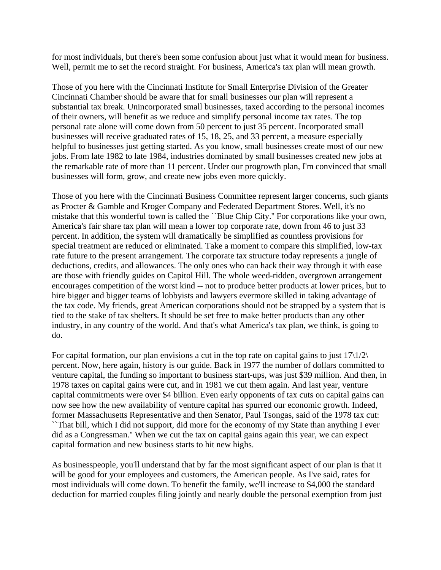for most individuals, but there's been some confusion about just what it would mean for business. Well, permit me to set the record straight. For business, America's tax plan will mean growth.

Those of you here with the Cincinnati Institute for Small Enterprise Division of the Greater Cincinnati Chamber should be aware that for small businesses our plan will represent a substantial tax break. Unincorporated small businesses, taxed according to the personal incomes of their owners, will benefit as we reduce and simplify personal income tax rates. The top personal rate alone will come down from 50 percent to just 35 percent. Incorporated small businesses will receive graduated rates of 15, 18, 25, and 33 percent, a measure especially helpful to businesses just getting started. As you know, small businesses create most of our new jobs. From late 1982 to late 1984, industries dominated by small businesses created new jobs at the remarkable rate of more than 11 percent. Under our progrowth plan, I'm convinced that small businesses will form, grow, and create new jobs even more quickly.

Those of you here with the Cincinnati Business Committee represent larger concerns, such giants as Procter & Gamble and Kroger Company and Federated Department Stores. Well, it's no mistake that this wonderful town is called the ``Blue Chip City.'' For corporations like your own, America's fair share tax plan will mean a lower top corporate rate, down from 46 to just 33 percent. In addition, the system will dramatically be simplified as countless provisions for special treatment are reduced or eliminated. Take a moment to compare this simplified, low-tax rate future to the present arrangement. The corporate tax structure today represents a jungle of deductions, credits, and allowances. The only ones who can hack their way through it with ease are those with friendly guides on Capitol Hill. The whole weed-ridden, overgrown arrangement encourages competition of the worst kind -- not to produce better products at lower prices, but to hire bigger and bigger teams of lobbyists and lawyers evermore skilled in taking advantage of the tax code. My friends, great American corporations should not be strapped by a system that is tied to the stake of tax shelters. It should be set free to make better products than any other industry, in any country of the world. And that's what America's tax plan, we think, is going to do.

For capital formation, our plan envisions a cut in the top rate on capital gains to just  $17\frac{1}{2}$ percent. Now, here again, history is our guide. Back in 1977 the number of dollars committed to venture capital, the funding so important to business start-ups, was just \$39 million. And then, in 1978 taxes on capital gains were cut, and in 1981 we cut them again. And last year, venture capital commitments were over \$4 billion. Even early opponents of tax cuts on capital gains can now see how the new availability of venture capital has spurred our economic growth. Indeed, former Massachusetts Representative and then Senator, Paul Tsongas, said of the 1978 tax cut: ``That bill, which I did not support, did more for the economy of my State than anything I ever did as a Congressman.'' When we cut the tax on capital gains again this year, we can expect capital formation and new business starts to hit new highs.

As businesspeople, you'll understand that by far the most significant aspect of our plan is that it will be good for your employees and customers, the American people. As I've said, rates for most individuals will come down. To benefit the family, we'll increase to \$4,000 the standard deduction for married couples filing jointly and nearly double the personal exemption from just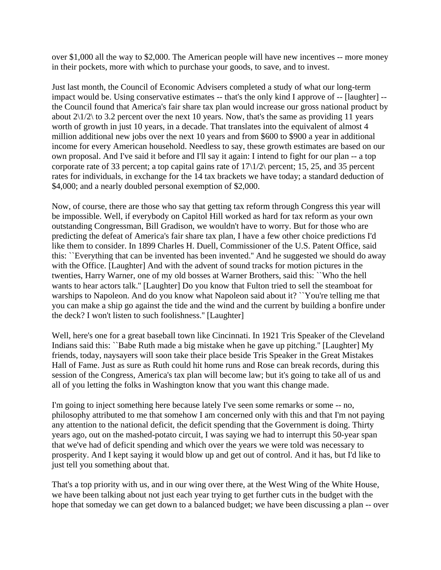over \$1,000 all the way to \$2,000. The American people will have new incentives -- more money in their pockets, more with which to purchase your goods, to save, and to invest.

Just last month, the Council of Economic Advisers completed a study of what our long-term impact would be. Using conservative estimates -- that's the only kind I approve of -- [laughter] - the Council found that America's fair share tax plan would increase our gross national product by about  $2\frac{1}{2}$  to 3.2 percent over the next 10 years. Now, that's the same as providing 11 years worth of growth in just 10 years, in a decade. That translates into the equivalent of almost 4 million additional new jobs over the next 10 years and from \$600 to \$900 a year in additional income for every American household. Needless to say, these growth estimates are based on our own proposal. And I've said it before and I'll say it again: I intend to fight for our plan -- a top corporate rate of 33 percent; a top capital gains rate of 17\1/2\ percent; 15, 25, and 35 percent rates for individuals, in exchange for the 14 tax brackets we have today; a standard deduction of \$4,000; and a nearly doubled personal exemption of \$2,000.

Now, of course, there are those who say that getting tax reform through Congress this year will be impossible. Well, if everybody on Capitol Hill worked as hard for tax reform as your own outstanding Congressman, Bill Gradison, we wouldn't have to worry. But for those who are predicting the defeat of America's fair share tax plan, I have a few other choice predictions I'd like them to consider. In 1899 Charles H. Duell, Commissioner of the U.S. Patent Office, said this: ``Everything that can be invented has been invented.'' And he suggested we should do away with the Office. [Laughter] And with the advent of sound tracks for motion pictures in the twenties, Harry Warner, one of my old bosses at Warner Brothers, said this: ``Who the hell wants to hear actors talk.'' [Laughter] Do you know that Fulton tried to sell the steamboat for warships to Napoleon. And do you know what Napoleon said about it? ``You're telling me that you can make a ship go against the tide and the wind and the current by building a bonfire under the deck? I won't listen to such foolishness.'' [Laughter]

Well, here's one for a great baseball town like Cincinnati. In 1921 Tris Speaker of the Cleveland Indians said this: ``Babe Ruth made a big mistake when he gave up pitching.'' [Laughter] My friends, today, naysayers will soon take their place beside Tris Speaker in the Great Mistakes Hall of Fame. Just as sure as Ruth could hit home runs and Rose can break records, during this session of the Congress, America's tax plan will become law; but it's going to take all of us and all of you letting the folks in Washington know that you want this change made.

I'm going to inject something here because lately I've seen some remarks or some -- no, philosophy attributed to me that somehow I am concerned only with this and that I'm not paying any attention to the national deficit, the deficit spending that the Government is doing. Thirty years ago, out on the mashed-potato circuit, I was saying we had to interrupt this 50-year span that we've had of deficit spending and which over the years we were told was necessary to prosperity. And I kept saying it would blow up and get out of control. And it has, but I'd like to just tell you something about that.

That's a top priority with us, and in our wing over there, at the West Wing of the White House, we have been talking about not just each year trying to get further cuts in the budget with the hope that someday we can get down to a balanced budget; we have been discussing a plan -- over